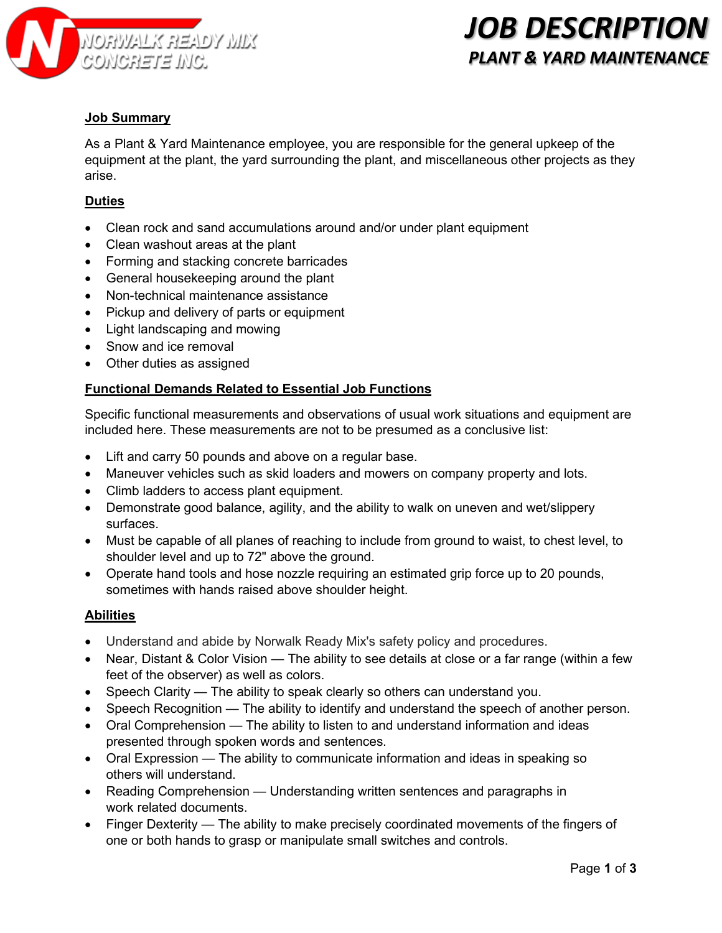

# *JOB DESCRIPTION PLANT & YARD MAINTENANCE*

### **Job Summary**

As a Plant & Yard Maintenance employee, you are responsible for the general upkeep of the equipment at the plant, the yard surrounding the plant, and miscellaneous other projects as they arise.

### **Duties**

- Clean rock and sand accumulations around and/or under plant equipment
- Clean washout areas at the plant
- Forming and stacking concrete barricades
- General housekeeping around the plant
- Non-technical maintenance assistance
- Pickup and delivery of parts or equipment
- Light landscaping and mowing
- Snow and ice removal
- Other duties as assigned

#### **Functional Demands Related to Essential Job Functions**

Specific functional measurements and observations of usual work situations and equipment are included here. These measurements are not to be presumed as a conclusive list:

- Lift and carry 50 pounds and above on a regular base.
- Maneuver vehicles such as skid loaders and mowers on company property and lots.
- Climb ladders to access plant equipment.
- Demonstrate good balance, agility, and the ability to walk on uneven and wet/slippery surfaces.
- Must be capable of all planes of reaching to include from ground to waist, to chest level, to shoulder level and up to 72" above the ground.
- Operate hand tools and hose nozzle requiring an estimated grip force up to 20 pounds, sometimes with hands raised above shoulder height.

#### **Abilities**

- Understand and abide by Norwalk Ready Mix's safety policy and procedures.
- Near, Distant & Color Vision The ability to see details at close or a far range (within a few feet of the observer) as well as colors.
- Speech Clarity The ability to speak clearly so others can understand you.
- Speech Recognition The ability to identify and understand the speech of another person.
- Oral Comprehension The ability to listen to and understand information and ideas presented through spoken words and sentences.
- Oral Expression The ability to communicate information and ideas in speaking so others will understand.
- Reading Comprehension Understanding written sentences and paragraphs in work related documents.
- Finger Dexterity The ability to make precisely coordinated movements of the fingers of one or both hands to grasp or manipulate small switches and controls.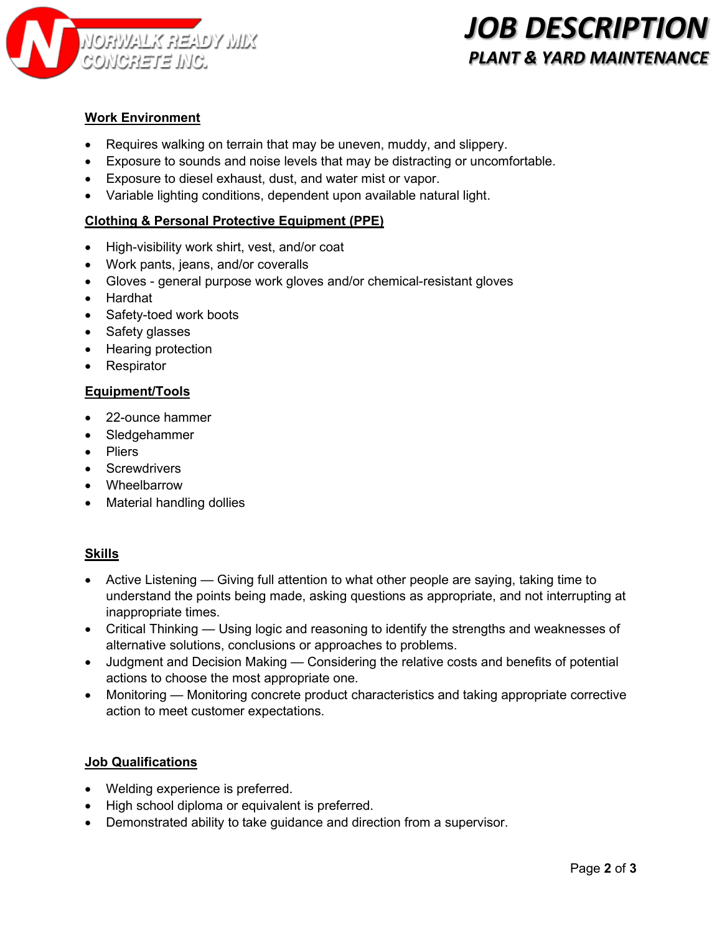

# *JOB DESCRIPTION PLANT & YARD MAINTENANCE*

## **Work Environment**

- Requires walking on terrain that may be uneven, muddy, and slippery.
- Exposure to sounds and noise levels that may be distracting or uncomfortable.
- Exposure to diesel exhaust, dust, and water mist or vapor.
- Variable lighting conditions, dependent upon available natural light.

### **Clothing & Personal Protective Equipment (PPE)**

- High-visibility work shirt, vest, and/or coat
- Work pants, jeans, and/or coveralls
- Gloves general purpose work gloves and/or chemical-resistant gloves
- Hardhat
- Safety-toed work boots
- Safety glasses
- Hearing protection
- Respirator

#### **Equipment/Tools**

- 22-ounce hammer
- Sledgehammer
- Pliers
- Screwdrivers
- Wheelbarrow
- Material handling dollies

#### **Skills**

- Active Listening Giving full attention to what other people are saying, taking time to understand the points being made, asking questions as appropriate, and not interrupting at inappropriate times.
- Critical Thinking Using logic and reasoning to identify the strengths and weaknesses of alternative solutions, conclusions or approaches to problems.
- Judgment and Decision Making Considering the relative costs and benefits of potential actions to choose the most appropriate one.
- Monitoring Monitoring concrete product characteristics and taking appropriate corrective action to meet customer expectations.

### **Job Qualifications**

- Welding experience is preferred.
- High school diploma or equivalent is preferred.
- Demonstrated ability to take guidance and direction from a supervisor.